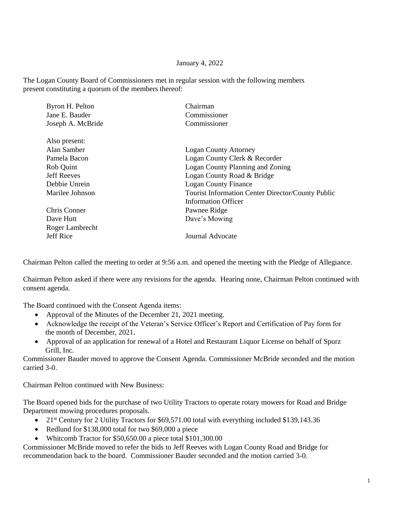## January 4, 2022

The Logan County Board of Commissioners met in regular session with the following members present constituting a quorum of the members thereof:

| Byron H. Pelton    | Chairman                                                 |
|--------------------|----------------------------------------------------------|
| Jane E. Bauder     | Commissioner                                             |
| Joseph A. McBride  | Commissioner                                             |
| Also present:      |                                                          |
| Alan Samber        | <b>Logan County Attorney</b>                             |
| Pamela Bacon       | Logan County Clerk & Recorder                            |
| Rob Quint          | Logan County Planning and Zoning                         |
| <b>Jeff Reeves</b> | Logan County Road & Bridge                               |
| Debbie Unrein      | <b>Logan County Finance</b>                              |
| Marilee Johnson    | <b>Tourist Information Center Director/County Public</b> |
|                    | <b>Information Officer</b>                               |
| Chris Conner       | Pawnee Ridge                                             |
| Dave Hutt          | Dave's Mowing                                            |
| Roger Lambrecht    |                                                          |
| <b>Jeff Rice</b>   | Journal Advocate                                         |
|                    |                                                          |

Chairman Pelton called the meeting to order at 9:56 a.m. and opened the meeting with the Pledge of Allegiance.

Chairman Pelton asked if there were any revisions for the agenda. Hearing none, Chairman Pelton continued with consent agenda.

The Board continued with the Consent Agenda items:

- Approval of the Minutes of the December 21, 2021 meeting.
- Acknowledge the receipt of the Veteran's Service Officer's Report and Certification of Pay form for the month of December, 2021.
- Approval of an application for renewal of a Hotel and Restaurant Liquor License on behalf of Spurz Grill, Inc.

Commissioner Bauder moved to approve the Consent Agenda. Commissioner McBride seconded and the motion carried 3-0.

Chairman Pelton continued with New Business:

The Board opened bids for the purchase of two Utility Tractors to operate rotary mowers for Road and Bridge Department mowing procedures proposals.

- 21<sup>st</sup> Century for 2 Utility Tractors for \$69,571.00 total with everything included \$139,143.36
- Redlund for \$138,000 total for two \$69,000 a piece
- Whitcomb Tractor for \$50,650.00 a piece total \$101,300.00

Commissioner McBride moved to refer the bids to Jeff Reeves with Logan County Road and Bridge for recommendation back to the board. Commissioner Bauder seconded and the motion carried 3-0.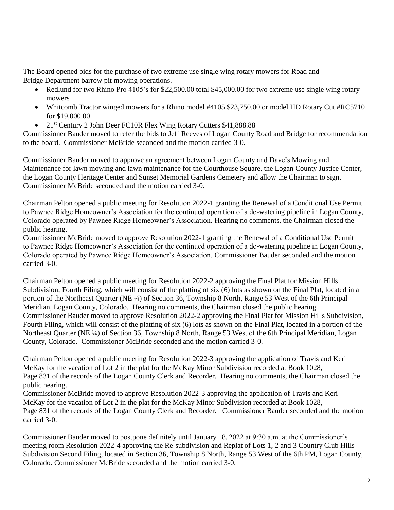The Board opened bids for the purchase of two extreme use single wing rotary mowers for Road and Bridge Department barrow pit mowing operations.

- Redlund for two Rhino Pro 4105's for \$22,500.00 total \$45,000.00 for two extreme use single wing rotary mowers
- Whitcomb Tractor winged mowers for a Rhino model #4105 \$23,750.00 or model HD Rotary Cut #RC5710 for \$19,000.00
- 21<sup>st</sup> Century 2 John Deer FC10R Flex Wing Rotary Cutters \$41,888.88

Commissioner Bauder moved to refer the bids to Jeff Reeves of Logan County Road and Bridge for recommendation to the board. Commissioner McBride seconded and the motion carried 3-0.

Commissioner Bauder moved to approve an agreement between Logan County and Dave's Mowing and Maintenance for lawn mowing and lawn maintenance for the Courthouse Square, the Logan County Justice Center, the Logan County Heritage Center and Sunset Memorial Gardens Cemetery and allow the Chairman to sign. Commissioner McBride seconded and the motion carried 3-0.

Chairman Pelton opened a public meeting for Resolution 2022-1 granting the Renewal of a Conditional Use Permit to Pawnee Ridge Homeowner's Association for the continued operation of a de-watering pipeline in Logan County, Colorado operated by Pawnee Ridge Homeowner's Association. Hearing no comments, the Chairman closed the public hearing.

Commissioner McBride moved to approve Resolution 2022-1 granting the Renewal of a Conditional Use Permit to Pawnee Ridge Homeowner's Association for the continued operation of a de-watering pipeline in Logan County, Colorado operated by Pawnee Ridge Homeowner's Association. Commissioner Bauder seconded and the motion carried 3-0.

Chairman Pelton opened a public meeting for Resolution 2022-2 approving the Final Plat for Mission Hills Subdivision, Fourth Filing, which will consist of the platting of six (6) lots as shown on the Final Plat, located in a portion of the Northeast Quarter (NE ¼) of Section 36, Township 8 North, Range 53 West of the 6th Principal Meridian, Logan County, Colorado. Hearing no comments, the Chairman closed the public hearing. Commissioner Bauder moved to approve Resolution 2022-2 approving the Final Plat for Mission Hills Subdivision, Fourth Filing, which will consist of the platting of six (6) lots as shown on the Final Plat, located in a portion of the Northeast Quarter (NE ¼) of Section 36, Township 8 North, Range 53 West of the 6th Principal Meridian, Logan County, Colorado. Commissioner McBride seconded and the motion carried 3-0.

Chairman Pelton opened a public meeting for Resolution 2022-3 approving the application of Travis and Keri McKay for the vacation of Lot 2 in the plat for the McKay Minor Subdivision recorded at Book 1028, Page 831 of the records of the Logan County Clerk and Recorder. Hearing no comments, the Chairman closed the public hearing.

Commissioner McBride moved to approve Resolution 2022-3 approving the application of Travis and Keri McKay for the vacation of Lot 2 in the plat for the McKay Minor Subdivision recorded at Book 1028, Page 831 of the records of the Logan County Clerk and Recorder. Commissioner Bauder seconded and the motion carried 3-0.

Commissioner Bauder moved to postpone definitely until January 18, 2022 at 9:30 a.m. at the Commissioner's meeting room Resolution 2022-4 approving the Re-subdivision and Replat of Lots 1, 2 and 3 Country Club Hills Subdivision Second Filing, located in Section 36, Township 8 North, Range 53 West of the 6th PM, Logan County, Colorado. Commissioner McBride seconded and the motion carried 3-0.